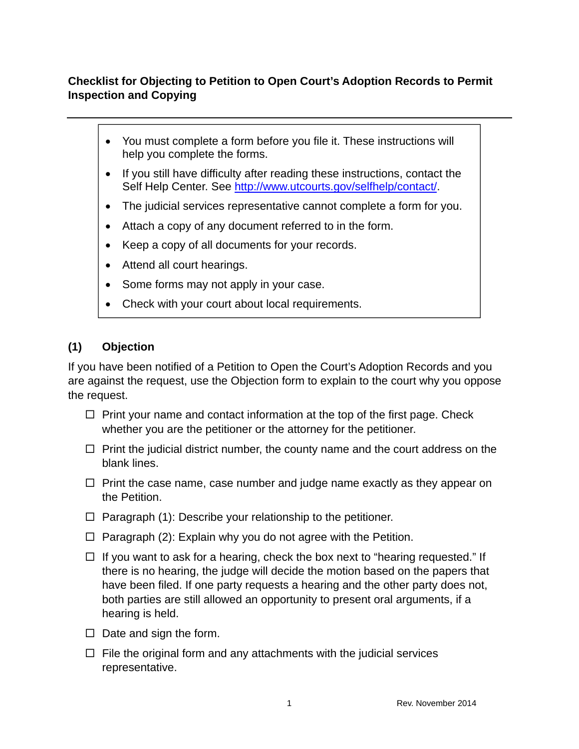## **Checklist for Objecting to Petition to Open Court's Adoption Records to Permit Inspection and Copying**

- You must complete a form before you file it. These instructions will help you complete the forms.
- If you still have difficulty after reading these instructions, contact the Self Help Center. See http://www.utcourts.gov/selfhelp/contact/.
- The judicial services representative cannot complete a form for you.
- Attach a copy of any document referred to in the form.
- Keep a copy of all documents for your records.
- Attend all court hearings.
- Some forms may not apply in your case.
- Check with your court about local requirements.

## **(1) Objection**

If you have been notified of a Petition to Open the Court's Adoption Records and you are against the request, use the Objection form to explain to the court why you oppose the request.

- $\Box$  Print your name and contact information at the top of the first page. Check whether you are the petitioner or the attorney for the petitioner.
- $\Box$  Print the judicial district number, the county name and the court address on the blank lines.
- $\Box$  Print the case name, case number and judge name exactly as they appear on the Petition.
- $\Box$  Paragraph (1): Describe your relationship to the petitioner.
- $\Box$  Paragraph (2): Explain why you do not agree with the Petition.
- $\Box$  If you want to ask for a hearing, check the box next to "hearing requested." If there is no hearing, the judge will decide the motion based on the papers that have been filed. If one party requests a hearing and the other party does not, both parties are still allowed an opportunity to present oral arguments, if a hearing is held.
- $\Box$  Date and sign the form.
- $\Box$  File the original form and any attachments with the judicial services representative.